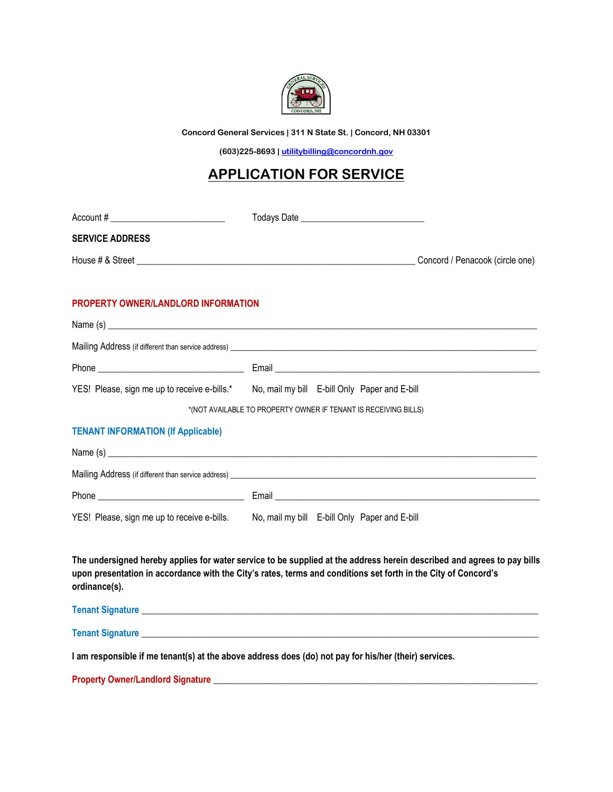

**Concord General Services | 311 N State St. | Concord, NH 03301**

**(603)225-8693 [| utilitybilling@concordnh.gov](mailto:utilitybilling@concordnh.gov)**

## **APPLICATION FOR SERVICE**

| Account # _________________________________                                                           |                                                                                                                                                                                                                                           |
|-------------------------------------------------------------------------------------------------------|-------------------------------------------------------------------------------------------------------------------------------------------------------------------------------------------------------------------------------------------|
| <b>SERVICE ADDRESS</b>                                                                                |                                                                                                                                                                                                                                           |
|                                                                                                       | Concord / Penacook (circle one)                                                                                                                                                                                                           |
| <b>PROPERTY OWNER/LANDLORD INFORMATION</b>                                                            |                                                                                                                                                                                                                                           |
|                                                                                                       |                                                                                                                                                                                                                                           |
|                                                                                                       |                                                                                                                                                                                                                                           |
|                                                                                                       |                                                                                                                                                                                                                                           |
|                                                                                                       | YES! Please, sign me up to receive e-bills.* No, mail my bill E-bill Only Paper and E-bill                                                                                                                                                |
| *(NOT AVAILABLE TO PROPERTY OWNER IF TENANT IS RECEIVING BILLS)                                       |                                                                                                                                                                                                                                           |
| <b>TENANT INFORMATION (If Applicable)</b>                                                             |                                                                                                                                                                                                                                           |
|                                                                                                       |                                                                                                                                                                                                                                           |
|                                                                                                       |                                                                                                                                                                                                                                           |
|                                                                                                       |                                                                                                                                                                                                                                           |
|                                                                                                       | YES! Please, sign me up to receive e-bills. No, mail my bill E-bill Only Paper and E-bill                                                                                                                                                 |
| ordinance(s).                                                                                         | The undersigned hereby applies for water service to be supplied at the address herein described and agrees to pay bills<br>upon presentation in accordance with the City's rates, terms and conditions set forth in the City of Concord's |
|                                                                                                       |                                                                                                                                                                                                                                           |
|                                                                                                       |                                                                                                                                                                                                                                           |
| I am responsible if me tenant(s) at the above address does (do) not pay for his/her (their) services. |                                                                                                                                                                                                                                           |
|                                                                                                       |                                                                                                                                                                                                                                           |